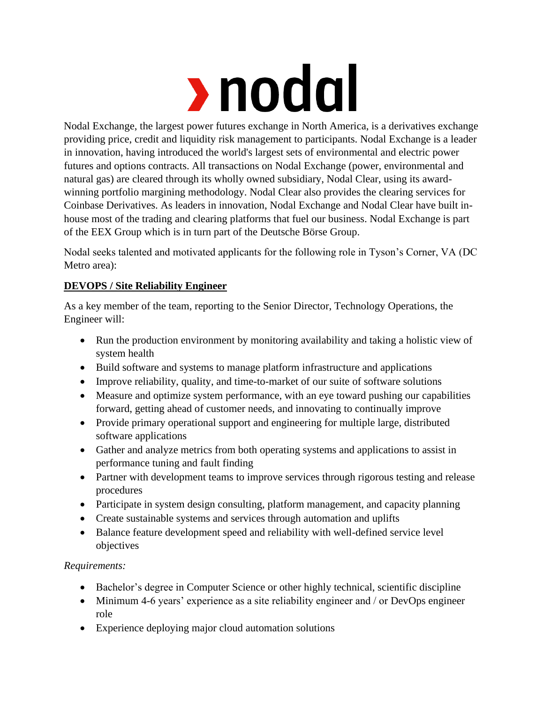

Nodal Exchange, the largest power futures exchange in North America, is a derivatives exchange providing price, credit and liquidity risk management to participants. Nodal Exchange is a leader in innovation, having introduced the world's largest sets of environmental and electric power futures and options contracts. All transactions on Nodal Exchange (power, environmental and natural gas) are cleared through its wholly owned subsidiary, Nodal Clear, using its awardwinning portfolio margining methodology. Nodal Clear also provides the clearing services for Coinbase Derivatives. As leaders in innovation, Nodal Exchange and Nodal Clear have built inhouse most of the trading and clearing platforms that fuel our business. Nodal Exchange is part of the EEX Group which is in turn part of the Deutsche Börse Group.

Nodal seeks talented and motivated applicants for the following role in Tyson's Corner, VA (DC Metro area):

## **DEVOPS / Site Reliability Engineer**

As a key member of the team, reporting to the Senior Director, Technology Operations, the Engineer will:

- Run the production environment by monitoring availability and taking a holistic view of system health
- Build software and systems to manage platform infrastructure and applications
- Improve reliability, quality, and time-to-market of our suite of software solutions
- Measure and optimize system performance, with an eye toward pushing our capabilities forward, getting ahead of customer needs, and innovating to continually improve
- Provide primary operational support and engineering for multiple large, distributed software applications
- Gather and analyze metrics from both operating systems and applications to assist in performance tuning and fault finding
- Partner with development teams to improve services through rigorous testing and release procedures
- Participate in system design consulting, platform management, and capacity planning
- Create sustainable systems and services through automation and uplifts
- Balance feature development speed and reliability with well-defined service level objectives

## *Requirements:*

- Bachelor's degree in Computer Science or other highly technical, scientific discipline
- Minimum 4-6 years' experience as a site reliability engineer and / or DevOps engineer role
- Experience deploying major cloud automation solutions